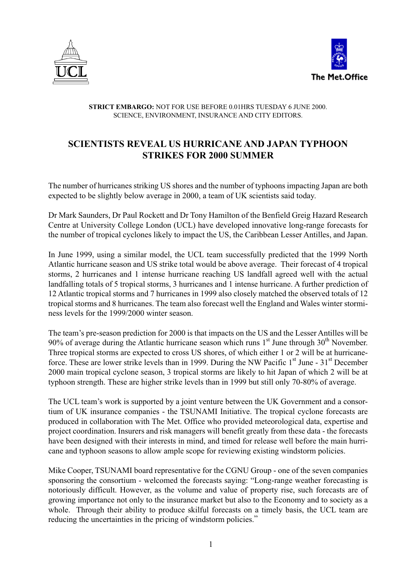



## **STRICT EMBARGO:** NOT FOR USE BEFORE 0.01HRS TUESDAY 6 JUNE 2000. SCIENCE, ENVIRONMENT, INSURANCE AND CITY EDITORS.

## **SCIENTISTS REVEAL US HURRICANE AND JAPAN TYPHOON STRIKES FOR 2000 SUMMER**

The number of hurricanes striking US shores and the number of typhoons impacting Japan are both expected to be slightly below average in 2000, a team of UK scientists said today.

Dr Mark Saunders, Dr Paul Rockett and Dr Tony Hamilton of the Benfield Greig Hazard Research Centre at University College London (UCL) have developed innovative long-range forecasts for the number of tropical cyclones likely to impact the US, the Caribbean Lesser Antilles, and Japan.

In June 1999, using a similar model, the UCL team successfully predicted that the 1999 North Atlantic hurricane season and US strike total would be above average. Their forecast of 4 tropical storms, 2 hurricanes and 1 intense hurricane reaching US landfall agreed well with the actual landfalling totals of 5 tropical storms, 3 hurricanes and 1 intense hurricane. A further prediction of 12 Atlantic tropical storms and 7 hurricanes in 1999 also closely matched the observed totals of 12 tropical storms and 8 hurricanes. The team also forecast well the England and Wales winter storminess levels for the 1999/2000 winter season.

The team's pre-season prediction for 2000 is that impacts on the US and the Lesser Antilles will be 90% of average during the Atlantic hurricane season which runs  $1<sup>st</sup>$  June through 30<sup>th</sup> November. Three tropical storms are expected to cross US shores, of which either 1 or 2 will be at hurricaneforce. These are lower strike levels than in 1999. During the NW Pacific  $1<sup>st</sup>$  June -  $31<sup>st</sup>$  December 2000 main tropical cyclone season, 3 tropical storms are likely to hit Japan of which 2 will be at typhoon strength. These are higher strike levels than in 1999 but still only 70-80% of average.

The UCL team's work is supported by a joint venture between the UK Government and a consortium of UK insurance companies - the TSUNAMI Initiative. The tropical cyclone forecasts are produced in collaboration with The Met. Office who provided meteorological data, expertise and project coordination. Insurers and risk managers will benefit greatly from these data - the forecasts have been designed with their interests in mind, and timed for release well before the main hurricane and typhoon seasons to allow ample scope for reviewing existing windstorm policies.

Mike Cooper, TSUNAMI board representative for the CGNU Group - one of the seven companies sponsoring the consortium - welcomed the forecasts saying: "Long-range weather forecasting is notoriously difficult. However, as the volume and value of property rise, such forecasts are of growing importance not only to the insurance market but also to the Economy and to society as a whole. Through their ability to produce skilful forecasts on a timely basis, the UCL team are reducing the uncertainties in the pricing of windstorm policies."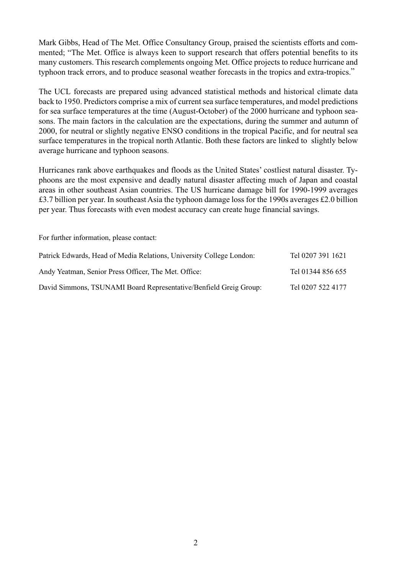Mark Gibbs, Head of The Met. Office Consultancy Group, praised the scientists efforts and commented; "The Met. Office is always keen to support research that offers potential benefits to its many customers. This research complements ongoing Met. Office projects to reduce hurricane and typhoon track errors, and to produce seasonal weather forecasts in the tropics and extra-tropics."

The UCL forecasts are prepared using advanced statistical methods and historical climate data back to 1950. Predictors comprise a mix of current sea surface temperatures, and model predictions for sea surface temperatures at the time (August-October) of the 2000 hurricane and typhoon seasons. The main factors in the calculation are the expectations, during the summer and autumn of 2000, for neutral or slightly negative ENSO conditions in the tropical Pacific, and for neutral sea surface temperatures in the tropical north Atlantic. Both these factors are linked to slightly below average hurricane and typhoon seasons.

Hurricanes rank above earthquakes and floods as the United States' costliest natural disaster. Typhoons are the most expensive and deadly natural disaster affecting much of Japan and coastal areas in other southeast Asian countries. The US hurricane damage bill for 1990-1999 averages £3.7 billion per year. In southeast Asia the typhoon damage loss for the 1990s averages £2.0 billion per year. Thus forecasts with even modest accuracy can create huge financial savings.

For further information, please contact:

| Patrick Edwards, Head of Media Relations, University College London: | Tel 0207 391 1621 |
|----------------------------------------------------------------------|-------------------|
| Andy Yeatman, Senior Press Officer, The Met. Office:                 | Tel 01344 856 655 |
| David Simmons, TSUNAMI Board Representative/Benfield Greig Group:    | Tel 0207 522 4177 |